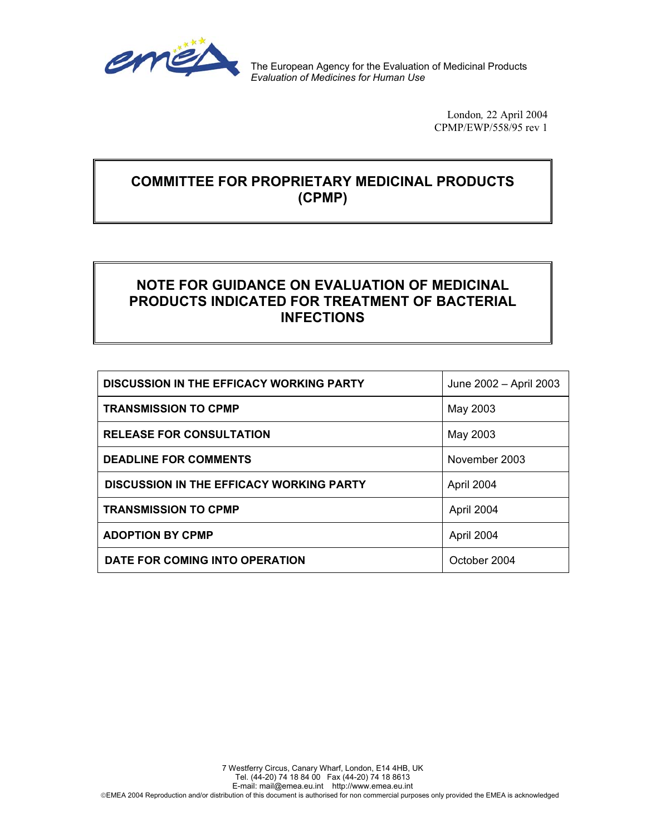

The European Agency for the Evaluation of Medicinal Products *Evaluation of Medicines for Human Use*

> London*,* 22 April 2004 CPMP/EWP/558/95 rev 1

# **COMMITTEE FOR PROPRIETARY MEDICINAL PRODUCTS (CPMP)**

# **NOTE FOR GUIDANCE ON EVALUATION OF MEDICINAL PRODUCTS INDICATED FOR TREATMENT OF BACTERIAL INFECTIONS**

| <b>DISCUSSION IN THE EFFICACY WORKING PARTY</b> | June 2002 - April 2003 |
|-------------------------------------------------|------------------------|
| <b>TRANSMISSION TO CPMP</b>                     | May 2003               |
| <b>RELEASE FOR CONSULTATION</b>                 | May 2003               |
| <b>DEADLINE FOR COMMENTS</b>                    | November 2003          |
| <b>DISCUSSION IN THE EFFICACY WORKING PARTY</b> | April 2004             |
| <b>TRANSMISSION TO CPMP</b>                     | April 2004             |
| <b>ADOPTION BY CPMP</b>                         | April 2004             |
| DATE FOR COMING INTO OPERATION                  | October 2004           |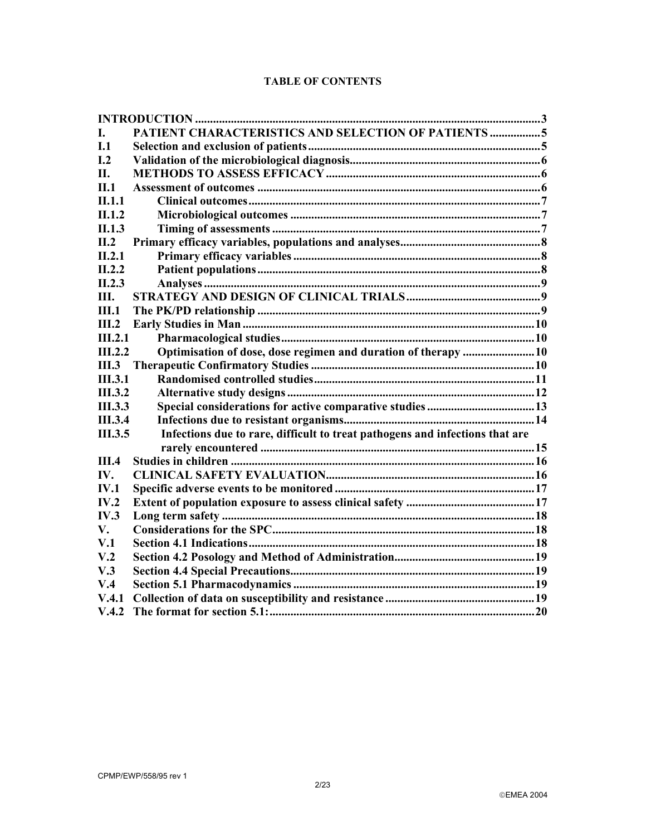#### **TABLE OF CONTENTS**

| I.              | PATIENT CHARACTERISTICS AND SELECTION OF PATIENTS 5                          |  |
|-----------------|------------------------------------------------------------------------------|--|
| I.1             |                                                                              |  |
| L <sub>2</sub>  |                                                                              |  |
| П.              |                                                                              |  |
| II.1            |                                                                              |  |
| II.1.1          |                                                                              |  |
| II.1.2          |                                                                              |  |
| II.1.3          |                                                                              |  |
| II.2            |                                                                              |  |
| II.2.1          |                                                                              |  |
| II.2.2          |                                                                              |  |
| II.2.3          |                                                                              |  |
| III.            |                                                                              |  |
| III.1           |                                                                              |  |
| III.2           |                                                                              |  |
| <b>III.2.1</b>  |                                                                              |  |
| III.2.2         | Optimisation of dose, dose regimen and duration of therapy 10                |  |
| III.3           |                                                                              |  |
| <b>III.3.1</b>  |                                                                              |  |
| <b>III.3.2</b>  |                                                                              |  |
| <b>III.3.3</b>  | Special considerations for active comparative studies13                      |  |
| <b>III.3.4</b>  |                                                                              |  |
| <b>III.3.5</b>  | Infections due to rare, difficult to treat pathogens and infections that are |  |
|                 |                                                                              |  |
| <b>III.4</b>    |                                                                              |  |
| IV.             |                                                                              |  |
| IV.1            |                                                                              |  |
| IV.2            |                                                                              |  |
| IV.3            |                                                                              |  |
| V.              |                                                                              |  |
| V.1             |                                                                              |  |
| V <sub>.2</sub> |                                                                              |  |
| V.3             |                                                                              |  |
| V.4             |                                                                              |  |
| V.4.1           |                                                                              |  |
| V.4.2           |                                                                              |  |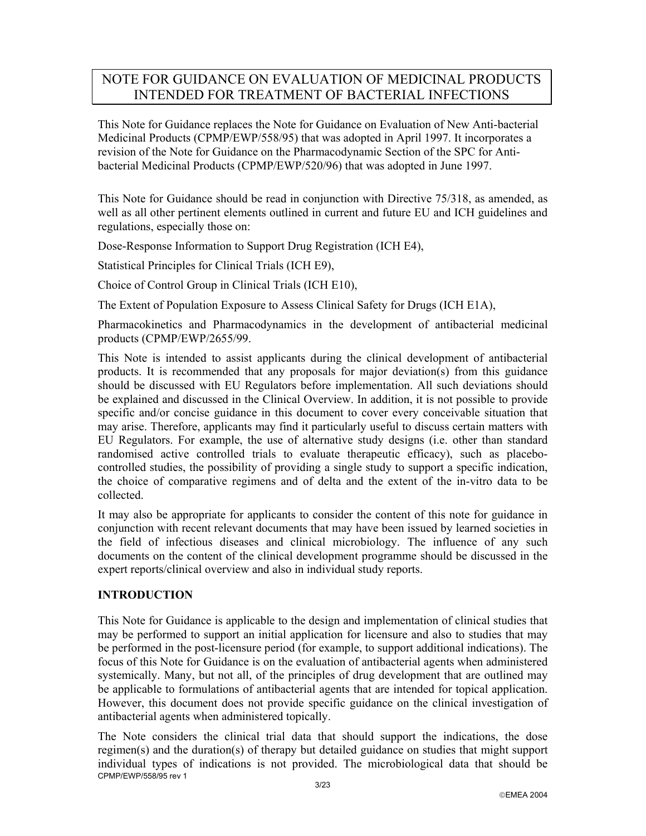# NOTE FOR GUIDANCE ON EVALUATION OF MEDICINAL PRODUCTS INTENDED FOR TREATMENT OF BACTERIAL INFECTIONS

This Note for Guidance replaces the Note for Guidance on Evaluation of New Anti-bacterial Medicinal Products (CPMP/EWP/558/95) that was adopted in April 1997. It incorporates a revision of the Note for Guidance on the Pharmacodynamic Section of the SPC for Antibacterial Medicinal Products (CPMP/EWP/520/96) that was adopted in June 1997.

This Note for Guidance should be read in conjunction with Directive 75/318, as amended, as well as all other pertinent elements outlined in current and future EU and ICH guidelines and regulations, especially those on:

Dose-Response Information to Support Drug Registration (ICH E4),

Statistical Principles for Clinical Trials (ICH E9),

Choice of Control Group in Clinical Trials (ICH E10),

The Extent of Population Exposure to Assess Clinical Safety for Drugs (ICH E1A),

Pharmacokinetics and Pharmacodynamics in the development of antibacterial medicinal products (CPMP/EWP/2655/99.

This Note is intended to assist applicants during the clinical development of antibacterial products. It is recommended that any proposals for major deviation(s) from this guidance should be discussed with EU Regulators before implementation. All such deviations should be explained and discussed in the Clinical Overview. In addition, it is not possible to provide specific and/or concise guidance in this document to cover every conceivable situation that may arise. Therefore, applicants may find it particularly useful to discuss certain matters with EU Regulators. For example, the use of alternative study designs (i.e. other than standard randomised active controlled trials to evaluate therapeutic efficacy), such as placebocontrolled studies, the possibility of providing a single study to support a specific indication, the choice of comparative regimens and of delta and the extent of the in-vitro data to be collected.

It may also be appropriate for applicants to consider the content of this note for guidance in conjunction with recent relevant documents that may have been issued by learned societies in the field of infectious diseases and clinical microbiology. The influence of any such documents on the content of the clinical development programme should be discussed in the expert reports/clinical overview and also in individual study reports.

## **INTRODUCTION**

This Note for Guidance is applicable to the design and implementation of clinical studies that may be performed to support an initial application for licensure and also to studies that may be performed in the post-licensure period (for example, to support additional indications). The focus of this Note for Guidance is on the evaluation of antibacterial agents when administered systemically. Many, but not all, of the principles of drug development that are outlined may be applicable to formulations of antibacterial agents that are intended for topical application. However, this document does not provide specific guidance on the clinical investigation of antibacterial agents when administered topically.

CPMP/EWP/558/95 rev 1 The Note considers the clinical trial data that should support the indications, the dose regimen(s) and the duration(s) of therapy but detailed guidance on studies that might support individual types of indications is not provided. The microbiological data that should be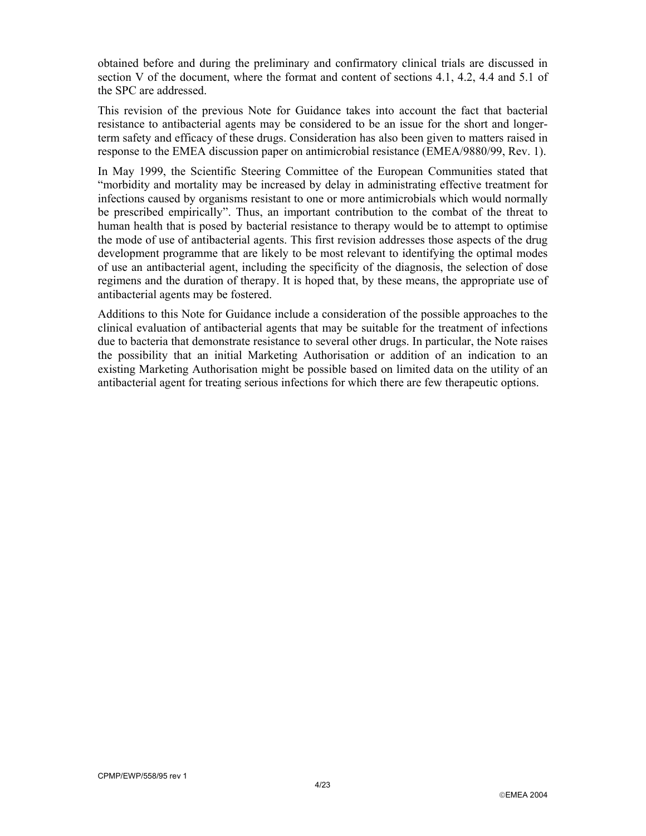obtained before and during the preliminary and confirmatory clinical trials are discussed in section V of the document, where the format and content of sections 4.1, 4.2, 4.4 and 5.1 of the SPC are addressed.

This revision of the previous Note for Guidance takes into account the fact that bacterial resistance to antibacterial agents may be considered to be an issue for the short and longerterm safety and efficacy of these drugs. Consideration has also been given to matters raised in response to the EMEA discussion paper on antimicrobial resistance (EMEA/9880/99, Rev. 1).

In May 1999, the Scientific Steering Committee of the European Communities stated that "morbidity and mortality may be increased by delay in administrating effective treatment for infections caused by organisms resistant to one or more antimicrobials which would normally be prescribed empirically". Thus, an important contribution to the combat of the threat to human health that is posed by bacterial resistance to therapy would be to attempt to optimise the mode of use of antibacterial agents. This first revision addresses those aspects of the drug development programme that are likely to be most relevant to identifying the optimal modes of use an antibacterial agent, including the specificity of the diagnosis, the selection of dose regimens and the duration of therapy. It is hoped that, by these means, the appropriate use of antibacterial agents may be fostered.

Additions to this Note for Guidance include a consideration of the possible approaches to the clinical evaluation of antibacterial agents that may be suitable for the treatment of infections due to bacteria that demonstrate resistance to several other drugs. In particular, the Note raises the possibility that an initial Marketing Authorisation or addition of an indication to an existing Marketing Authorisation might be possible based on limited data on the utility of an antibacterial agent for treating serious infections for which there are few therapeutic options.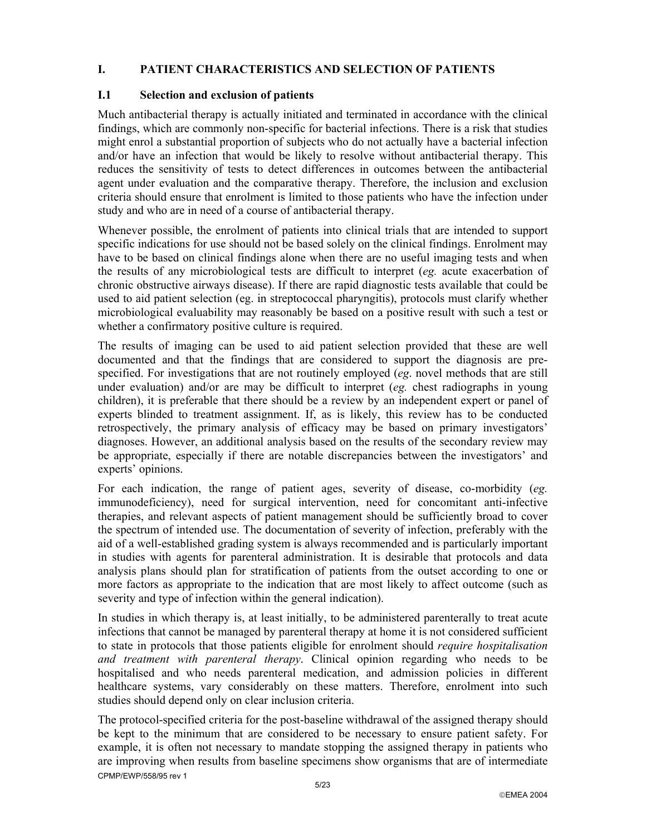## **I. PATIENT CHARACTERISTICS AND SELECTION OF PATIENTS**

### **I.1 Selection and exclusion of patients**

Much antibacterial therapy is actually initiated and terminated in accordance with the clinical findings, which are commonly non-specific for bacterial infections. There is a risk that studies might enrol a substantial proportion of subjects who do not actually have a bacterial infection and/or have an infection that would be likely to resolve without antibacterial therapy. This reduces the sensitivity of tests to detect differences in outcomes between the antibacterial agent under evaluation and the comparative therapy. Therefore, the inclusion and exclusion criteria should ensure that enrolment is limited to those patients who have the infection under study and who are in need of a course of antibacterial therapy.

Whenever possible, the enrolment of patients into clinical trials that are intended to support specific indications for use should not be based solely on the clinical findings. Enrolment may have to be based on clinical findings alone when there are no useful imaging tests and when the results of any microbiological tests are difficult to interpret (*eg.* acute exacerbation of chronic obstructive airways disease). If there are rapid diagnostic tests available that could be used to aid patient selection (eg. in streptococcal pharyngitis), protocols must clarify whether microbiological evaluability may reasonably be based on a positive result with such a test or whether a confirmatory positive culture is required.

The results of imaging can be used to aid patient selection provided that these are well documented and that the findings that are considered to support the diagnosis are prespecified. For investigations that are not routinely employed (*eg*. novel methods that are still under evaluation) and/or are may be difficult to interpret (*eg.* chest radiographs in young children), it is preferable that there should be a review by an independent expert or panel of experts blinded to treatment assignment. If, as is likely, this review has to be conducted retrospectively, the primary analysis of efficacy may be based on primary investigators' diagnoses. However, an additional analysis based on the results of the secondary review may be appropriate, especially if there are notable discrepancies between the investigators' and experts' opinions.

For each indication, the range of patient ages, severity of disease, co-morbidity (*eg.* immunodeficiency), need for surgical intervention, need for concomitant anti-infective therapies, and relevant aspects of patient management should be sufficiently broad to cover the spectrum of intended use. The documentation of severity of infection, preferably with the aid of a well-established grading system is always recommended and is particularly important in studies with agents for parenteral administration. It is desirable that protocols and data analysis plans should plan for stratification of patients from the outset according to one or more factors as appropriate to the indication that are most likely to affect outcome (such as severity and type of infection within the general indication).

In studies in which therapy is, at least initially, to be administered parenterally to treat acute infections that cannot be managed by parenteral therapy at home it is not considered sufficient to state in protocols that those patients eligible for enrolment should *require hospitalisation and treatment with parenteral therapy*. Clinical opinion regarding who needs to be hospitalised and who needs parenteral medication, and admission policies in different healthcare systems, vary considerably on these matters. Therefore, enrolment into such studies should depend only on clear inclusion criteria.

CPMP/EWP/558/95 rev 1 The protocol-specified criteria for the post-baseline withdrawal of the assigned therapy should be kept to the minimum that are considered to be necessary to ensure patient safety. For example, it is often not necessary to mandate stopping the assigned therapy in patients who are improving when results from baseline specimens show organisms that are of intermediate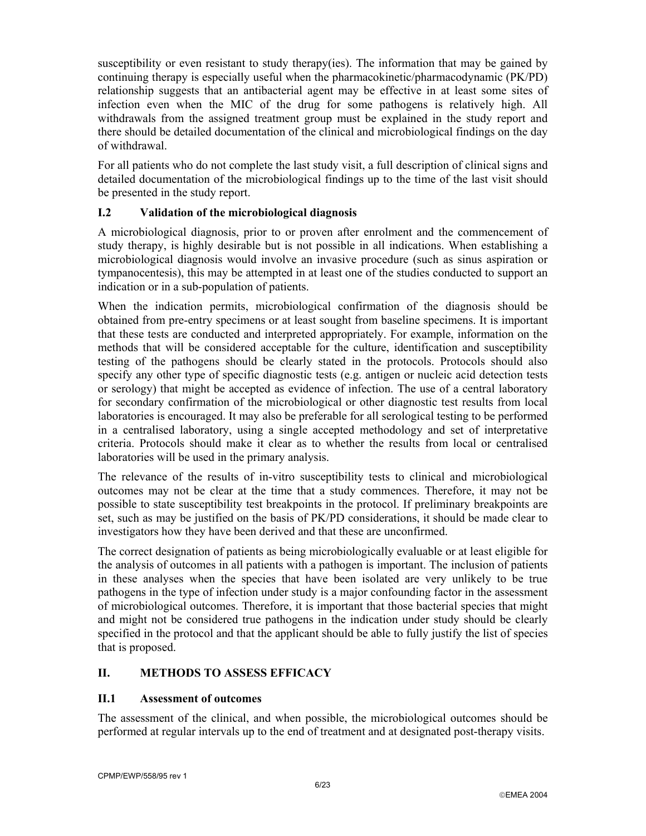susceptibility or even resistant to study therapy(ies). The information that may be gained by continuing therapy is especially useful when the pharmacokinetic/pharmacodynamic (PK/PD) relationship suggests that an antibacterial agent may be effective in at least some sites of infection even when the MIC of the drug for some pathogens is relatively high. All withdrawals from the assigned treatment group must be explained in the study report and there should be detailed documentation of the clinical and microbiological findings on the day of withdrawal.

For all patients who do not complete the last study visit, a full description of clinical signs and detailed documentation of the microbiological findings up to the time of the last visit should be presented in the study report.

## **I.2 Validation of the microbiological diagnosis**

A microbiological diagnosis, prior to or proven after enrolment and the commencement of study therapy, is highly desirable but is not possible in all indications. When establishing a microbiological diagnosis would involve an invasive procedure (such as sinus aspiration or tympanocentesis), this may be attempted in at least one of the studies conducted to support an indication or in a sub-population of patients.

When the indication permits, microbiological confirmation of the diagnosis should be obtained from pre-entry specimens or at least sought from baseline specimens. It is important that these tests are conducted and interpreted appropriately. For example, information on the methods that will be considered acceptable for the culture, identification and susceptibility testing of the pathogens should be clearly stated in the protocols. Protocols should also specify any other type of specific diagnostic tests (e.g. antigen or nucleic acid detection tests or serology) that might be accepted as evidence of infection. The use of a central laboratory for secondary confirmation of the microbiological or other diagnostic test results from local laboratories is encouraged. It may also be preferable for all serological testing to be performed in a centralised laboratory, using a single accepted methodology and set of interpretative criteria. Protocols should make it clear as to whether the results from local or centralised laboratories will be used in the primary analysis.

The relevance of the results of in-vitro susceptibility tests to clinical and microbiological outcomes may not be clear at the time that a study commences. Therefore, it may not be possible to state susceptibility test breakpoints in the protocol. If preliminary breakpoints are set, such as may be justified on the basis of PK/PD considerations, it should be made clear to investigators how they have been derived and that these are unconfirmed.

The correct designation of patients as being microbiologically evaluable or at least eligible for the analysis of outcomes in all patients with a pathogen is important. The inclusion of patients in these analyses when the species that have been isolated are very unlikely to be true pathogens in the type of infection under study is a major confounding factor in the assessment of microbiological outcomes. Therefore, it is important that those bacterial species that might and might not be considered true pathogens in the indication under study should be clearly specified in the protocol and that the applicant should be able to fully justify the list of species that is proposed.

## **II. METHODS TO ASSESS EFFICACY**

#### **II.1 Assessment of outcomes**

The assessment of the clinical, and when possible, the microbiological outcomes should be performed at regular intervals up to the end of treatment and at designated post-therapy visits.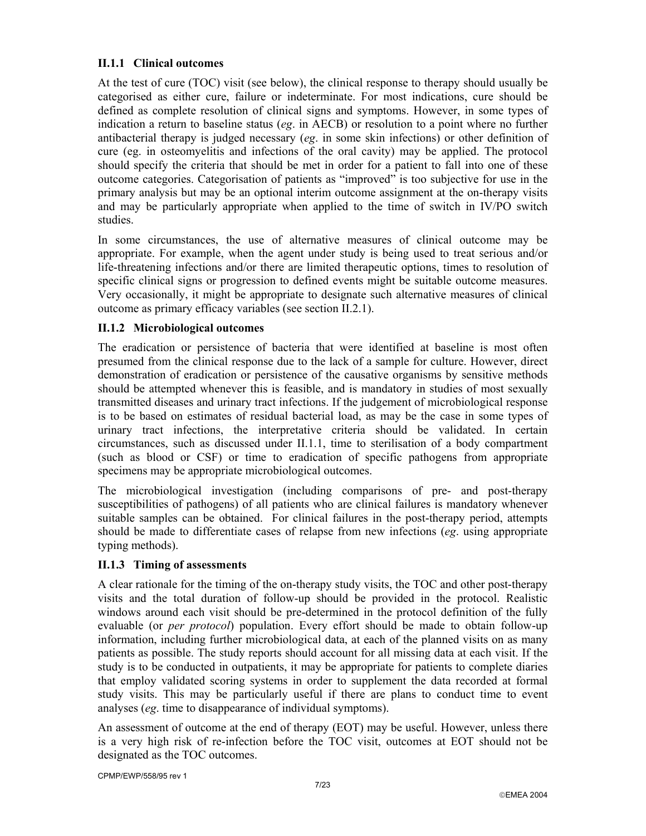## **II.1.1 Clinical outcomes**

At the test of cure (TOC) visit (see below), the clinical response to therapy should usually be categorised as either cure, failure or indeterminate. For most indications, cure should be defined as complete resolution of clinical signs and symptoms. However, in some types of indication a return to baseline status (*eg*. in AECB) or resolution to a point where no further antibacterial therapy is judged necessary (*eg*. in some skin infections) or other definition of cure (eg. in osteomyelitis and infections of the oral cavity) may be applied. The protocol should specify the criteria that should be met in order for a patient to fall into one of these outcome categories. Categorisation of patients as "improved" is too subjective for use in the primary analysis but may be an optional interim outcome assignment at the on-therapy visits and may be particularly appropriate when applied to the time of switch in IV/PO switch studies.

In some circumstances, the use of alternative measures of clinical outcome may be appropriate. For example, when the agent under study is being used to treat serious and/or life-threatening infections and/or there are limited therapeutic options, times to resolution of specific clinical signs or progression to defined events might be suitable outcome measures. Very occasionally, it might be appropriate to designate such alternative measures of clinical outcome as primary efficacy variables (see section II.2.1).

## **II.1.2 Microbiological outcomes**

The eradication or persistence of bacteria that were identified at baseline is most often presumed from the clinical response due to the lack of a sample for culture. However, direct demonstration of eradication or persistence of the causative organisms by sensitive methods should be attempted whenever this is feasible, and is mandatory in studies of most sexually transmitted diseases and urinary tract infections. If the judgement of microbiological response is to be based on estimates of residual bacterial load, as may be the case in some types of urinary tract infections, the interpretative criteria should be validated. In certain circumstances, such as discussed under II.1.1, time to sterilisation of a body compartment (such as blood or CSF) or time to eradication of specific pathogens from appropriate specimens may be appropriate microbiological outcomes.

The microbiological investigation (including comparisons of pre- and post-therapy susceptibilities of pathogens) of all patients who are clinical failures is mandatory whenever suitable samples can be obtained. For clinical failures in the post-therapy period, attempts should be made to differentiate cases of relapse from new infections (*eg*. using appropriate typing methods).

## **II.1.3 Timing of assessments**

A clear rationale for the timing of the on-therapy study visits, the TOC and other post-therapy visits and the total duration of follow-up should be provided in the protocol. Realistic windows around each visit should be pre-determined in the protocol definition of the fully evaluable (or *per protocol*) population. Every effort should be made to obtain follow-up information, including further microbiological data, at each of the planned visits on as many patients as possible. The study reports should account for all missing data at each visit. If the study is to be conducted in outpatients, it may be appropriate for patients to complete diaries that employ validated scoring systems in order to supplement the data recorded at formal study visits. This may be particularly useful if there are plans to conduct time to event analyses (*eg*. time to disappearance of individual symptoms).

An assessment of outcome at the end of therapy (EOT) may be useful. However, unless there is a very high risk of re-infection before the TOC visit, outcomes at EOT should not be designated as the TOC outcomes.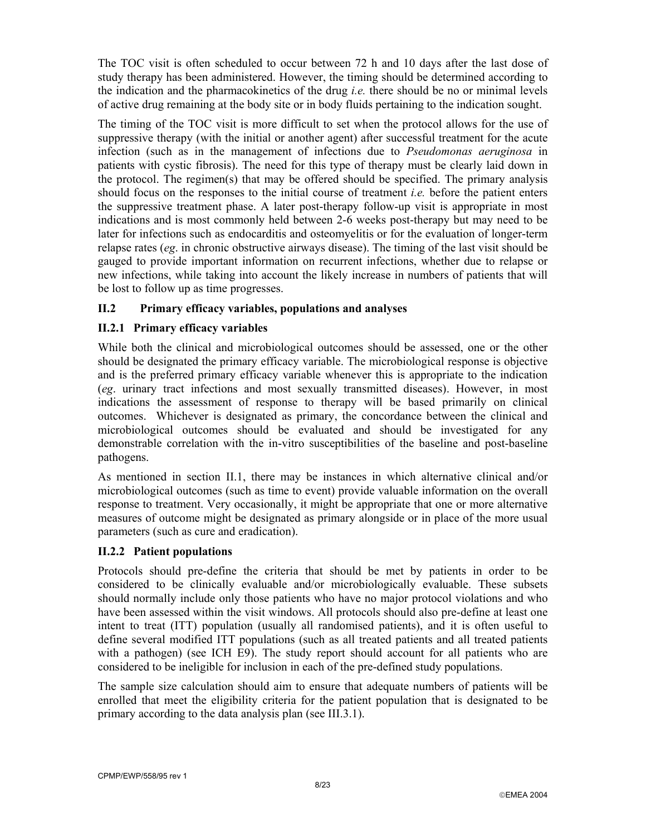The TOC visit is often scheduled to occur between 72 h and 10 days after the last dose of study therapy has been administered. However, the timing should be determined according to the indication and the pharmacokinetics of the drug *i.e.* there should be no or minimal levels of active drug remaining at the body site or in body fluids pertaining to the indication sought.

The timing of the TOC visit is more difficult to set when the protocol allows for the use of suppressive therapy (with the initial or another agent) after successful treatment for the acute infection (such as in the management of infections due to *Pseudomonas aeruginosa* in patients with cystic fibrosis). The need for this type of therapy must be clearly laid down in the protocol. The regimen(s) that may be offered should be specified. The primary analysis should focus on the responses to the initial course of treatment *i.e.* before the patient enters the suppressive treatment phase. A later post-therapy follow-up visit is appropriate in most indications and is most commonly held between 2-6 weeks post-therapy but may need to be later for infections such as endocarditis and osteomyelitis or for the evaluation of longer-term relapse rates (*eg*. in chronic obstructive airways disease). The timing of the last visit should be gauged to provide important information on recurrent infections, whether due to relapse or new infections, while taking into account the likely increase in numbers of patients that will be lost to follow up as time progresses.

## **II.2 Primary efficacy variables, populations and analyses**

## **II.2.1 Primary efficacy variables**

While both the clinical and microbiological outcomes should be assessed, one or the other should be designated the primary efficacy variable. The microbiological response is objective and is the preferred primary efficacy variable whenever this is appropriate to the indication (*eg*. urinary tract infections and most sexually transmitted diseases). However, in most indications the assessment of response to therapy will be based primarily on clinical outcomes. Whichever is designated as primary, the concordance between the clinical and microbiological outcomes should be evaluated and should be investigated for any demonstrable correlation with the in-vitro susceptibilities of the baseline and post-baseline pathogens.

As mentioned in section II.1, there may be instances in which alternative clinical and/or microbiological outcomes (such as time to event) provide valuable information on the overall response to treatment. Very occasionally, it might be appropriate that one or more alternative measures of outcome might be designated as primary alongside or in place of the more usual parameters (such as cure and eradication).

## **II.2.2 Patient populations**

Protocols should pre-define the criteria that should be met by patients in order to be considered to be clinically evaluable and/or microbiologically evaluable. These subsets should normally include only those patients who have no major protocol violations and who have been assessed within the visit windows. All protocols should also pre-define at least one intent to treat (ITT) population (usually all randomised patients), and it is often useful to define several modified ITT populations (such as all treated patients and all treated patients with a pathogen) (see ICH E9). The study report should account for all patients who are considered to be ineligible for inclusion in each of the pre-defined study populations.

The sample size calculation should aim to ensure that adequate numbers of patients will be enrolled that meet the eligibility criteria for the patient population that is designated to be primary according to the data analysis plan (see III.3.1).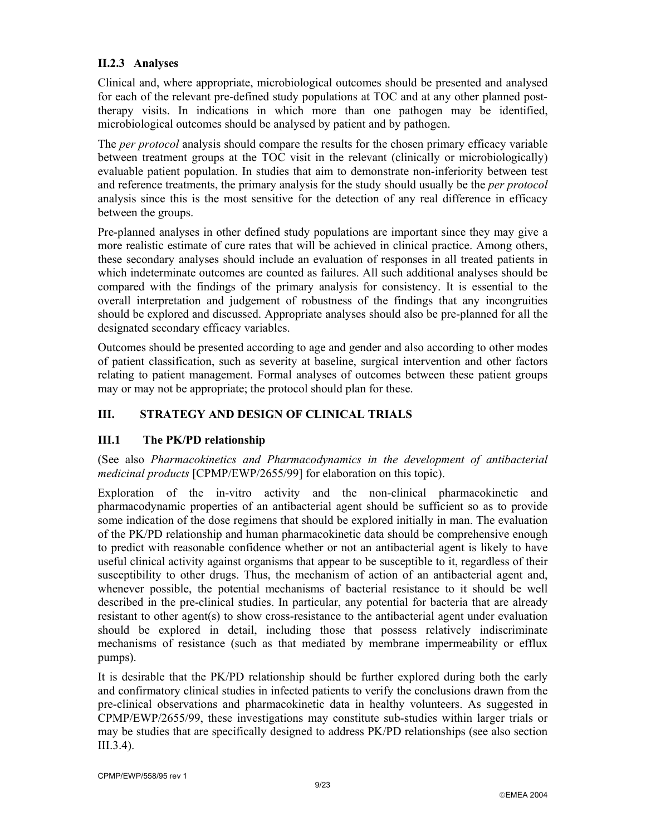## **II.2.3 Analyses**

Clinical and, where appropriate, microbiological outcomes should be presented and analysed for each of the relevant pre-defined study populations at TOC and at any other planned posttherapy visits. In indications in which more than one pathogen may be identified, microbiological outcomes should be analysed by patient and by pathogen.

The *per protocol* analysis should compare the results for the chosen primary efficacy variable between treatment groups at the TOC visit in the relevant (clinically or microbiologically) evaluable patient population. In studies that aim to demonstrate non-inferiority between test and reference treatments, the primary analysis for the study should usually be the *per protocol* analysis since this is the most sensitive for the detection of any real difference in efficacy between the groups.

Pre-planned analyses in other defined study populations are important since they may give a more realistic estimate of cure rates that will be achieved in clinical practice. Among others, these secondary analyses should include an evaluation of responses in all treated patients in which indeterminate outcomes are counted as failures. All such additional analyses should be compared with the findings of the primary analysis for consistency. It is essential to the overall interpretation and judgement of robustness of the findings that any incongruities should be explored and discussed. Appropriate analyses should also be pre-planned for all the designated secondary efficacy variables.

Outcomes should be presented according to age and gender and also according to other modes of patient classification, such as severity at baseline, surgical intervention and other factors relating to patient management. Formal analyses of outcomes between these patient groups may or may not be appropriate; the protocol should plan for these.

## **III. STRATEGY AND DESIGN OF CLINICAL TRIALS**

## **III.1 The PK/PD relationship**

(See also *Pharmacokinetics and Pharmacodynamics in the development of antibacterial medicinal products* [CPMP/EWP/2655/99] for elaboration on this topic).

Exploration of the in-vitro activity and the non-clinical pharmacokinetic and pharmacodynamic properties of an antibacterial agent should be sufficient so as to provide some indication of the dose regimens that should be explored initially in man. The evaluation of the PK/PD relationship and human pharmacokinetic data should be comprehensive enough to predict with reasonable confidence whether or not an antibacterial agent is likely to have useful clinical activity against organisms that appear to be susceptible to it, regardless of their susceptibility to other drugs. Thus, the mechanism of action of an antibacterial agent and, whenever possible, the potential mechanisms of bacterial resistance to it should be well described in the pre-clinical studies. In particular, any potential for bacteria that are already resistant to other agent(s) to show cross-resistance to the antibacterial agent under evaluation should be explored in detail, including those that possess relatively indiscriminate mechanisms of resistance (such as that mediated by membrane impermeability or efflux pumps).

It is desirable that the PK/PD relationship should be further explored during both the early and confirmatory clinical studies in infected patients to verify the conclusions drawn from the pre-clinical observations and pharmacokinetic data in healthy volunteers. As suggested in CPMP/EWP/2655/99, these investigations may constitute sub-studies within larger trials or may be studies that are specifically designed to address PK/PD relationships (see also section III.3.4).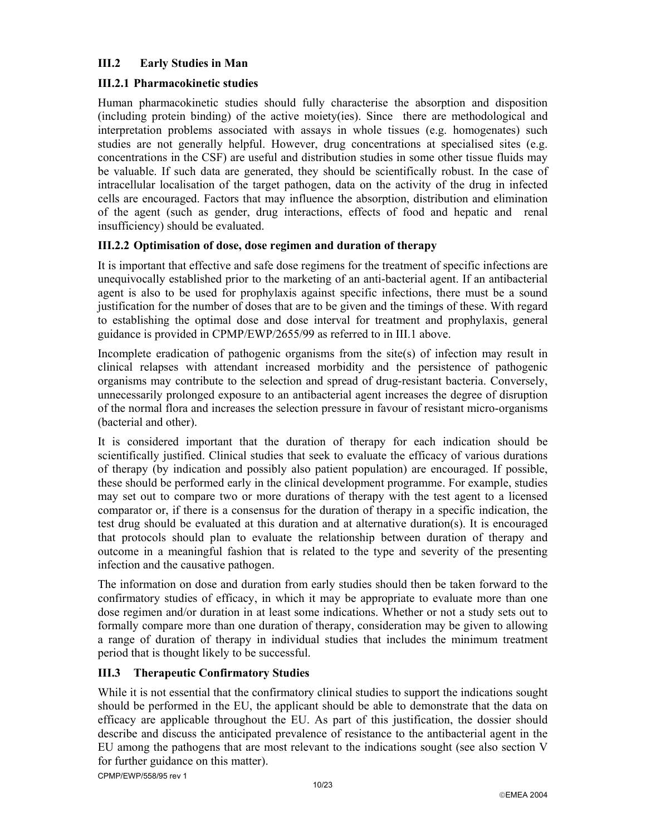## **III.2 Early Studies in Man**

## **III.2.1 Pharmacokinetic studies**

Human pharmacokinetic studies should fully characterise the absorption and disposition (including protein binding) of the active moiety(ies). Since there are methodological and interpretation problems associated with assays in whole tissues (e.g. homogenates) such studies are not generally helpful. However, drug concentrations at specialised sites (e.g. concentrations in the CSF) are useful and distribution studies in some other tissue fluids may be valuable. If such data are generated, they should be scientifically robust. In the case of intracellular localisation of the target pathogen, data on the activity of the drug in infected cells are encouraged. Factors that may influence the absorption, distribution and elimination of the agent (such as gender, drug interactions, effects of food and hepatic and renal insufficiency) should be evaluated.

## **III.2.2 Optimisation of dose, dose regimen and duration of therapy**

It is important that effective and safe dose regimens for the treatment of specific infections are unequivocally established prior to the marketing of an anti-bacterial agent. If an antibacterial agent is also to be used for prophylaxis against specific infections, there must be a sound justification for the number of doses that are to be given and the timings of these. With regard to establishing the optimal dose and dose interval for treatment and prophylaxis, general guidance is provided in CPMP/EWP/2655/99 as referred to in III.1 above.

Incomplete eradication of pathogenic organisms from the site(s) of infection may result in clinical relapses with attendant increased morbidity and the persistence of pathogenic organisms may contribute to the selection and spread of drug-resistant bacteria. Conversely, unnecessarily prolonged exposure to an antibacterial agent increases the degree of disruption of the normal flora and increases the selection pressure in favour of resistant micro-organisms (bacterial and other).

It is considered important that the duration of therapy for each indication should be scientifically justified. Clinical studies that seek to evaluate the efficacy of various durations of therapy (by indication and possibly also patient population) are encouraged. If possible, these should be performed early in the clinical development programme. For example, studies may set out to compare two or more durations of therapy with the test agent to a licensed comparator or, if there is a consensus for the duration of therapy in a specific indication, the test drug should be evaluated at this duration and at alternative duration(s). It is encouraged that protocols should plan to evaluate the relationship between duration of therapy and outcome in a meaningful fashion that is related to the type and severity of the presenting infection and the causative pathogen.

The information on dose and duration from early studies should then be taken forward to the confirmatory studies of efficacy, in which it may be appropriate to evaluate more than one dose regimen and/or duration in at least some indications. Whether or not a study sets out to formally compare more than one duration of therapy, consideration may be given to allowing a range of duration of therapy in individual studies that includes the minimum treatment period that is thought likely to be successful.

## **III.3 Therapeutic Confirmatory Studies**

While it is not essential that the confirmatory clinical studies to support the indications sought should be performed in the EU, the applicant should be able to demonstrate that the data on efficacy are applicable throughout the EU. As part of this justification, the dossier should describe and discuss the anticipated prevalence of resistance to the antibacterial agent in the EU among the pathogens that are most relevant to the indications sought (see also section V for further guidance on this matter).

CPMP/EWP/558/95 rev 1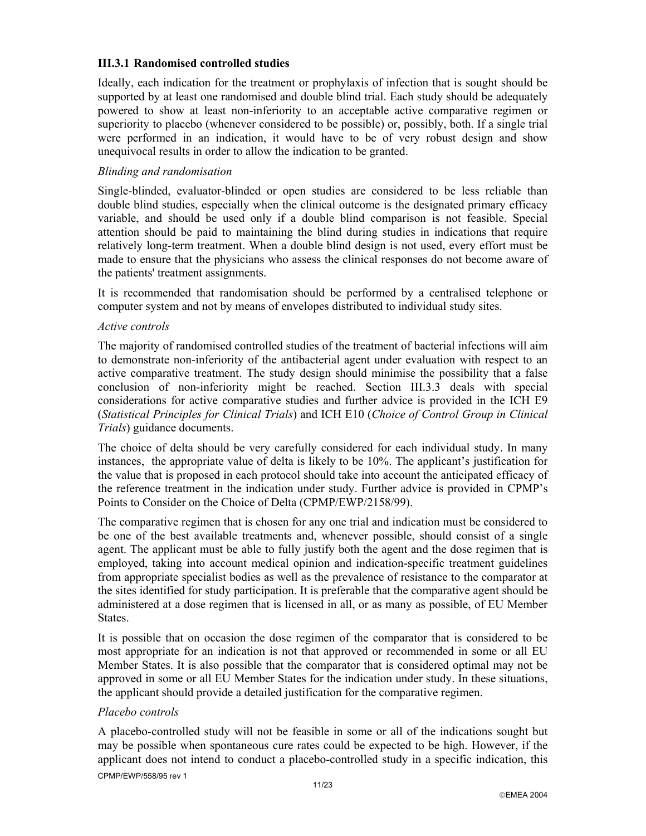### **III.3.1 Randomised controlled studies**

Ideally, each indication for the treatment or prophylaxis of infection that is sought should be supported by at least one randomised and double blind trial. Each study should be adequately powered to show at least non-inferiority to an acceptable active comparative regimen or superiority to placebo (whenever considered to be possible) or, possibly, both. If a single trial were performed in an indication, it would have to be of very robust design and show unequivocal results in order to allow the indication to be granted.

#### *Blinding and randomisation*

Single-blinded, evaluator-blinded or open studies are considered to be less reliable than double blind studies, especially when the clinical outcome is the designated primary efficacy variable, and should be used only if a double blind comparison is not feasible. Special attention should be paid to maintaining the blind during studies in indications that require relatively long-term treatment. When a double blind design is not used, every effort must be made to ensure that the physicians who assess the clinical responses do not become aware of the patients' treatment assignments.

It is recommended that randomisation should be performed by a centralised telephone or computer system and not by means of envelopes distributed to individual study sites.

#### *Active controls*

The majority of randomised controlled studies of the treatment of bacterial infections will aim to demonstrate non-inferiority of the antibacterial agent under evaluation with respect to an active comparative treatment. The study design should minimise the possibility that a false conclusion of non-inferiority might be reached. Section III.3.3 deals with special considerations for active comparative studies and further advice is provided in the ICH E9 (*Statistical Principles for Clinical Trials*) and ICH E10 (*Choice of Control Group in Clinical Trials*) guidance documents.

The choice of delta should be very carefully considered for each individual study. In many instances, the appropriate value of delta is likely to be 10%. The applicant's justification for the value that is proposed in each protocol should take into account the anticipated efficacy of the reference treatment in the indication under study. Further advice is provided in CPMP's Points to Consider on the Choice of Delta (CPMP/EWP/2158/99).

The comparative regimen that is chosen for any one trial and indication must be considered to be one of the best available treatments and, whenever possible, should consist of a single agent. The applicant must be able to fully justify both the agent and the dose regimen that is employed, taking into account medical opinion and indication-specific treatment guidelines from appropriate specialist bodies as well as the prevalence of resistance to the comparator at the sites identified for study participation. It is preferable that the comparative agent should be administered at a dose regimen that is licensed in all, or as many as possible, of EU Member States.

It is possible that on occasion the dose regimen of the comparator that is considered to be most appropriate for an indication is not that approved or recommended in some or all EU Member States. It is also possible that the comparator that is considered optimal may not be approved in some or all EU Member States for the indication under study. In these situations, the applicant should provide a detailed justification for the comparative regimen.

#### *Placebo controls*

CPMP/EWP/558/95 rev 1 A placebo-controlled study will not be feasible in some or all of the indications sought but may be possible when spontaneous cure rates could be expected to be high. However, if the applicant does not intend to conduct a placebo-controlled study in a specific indication, this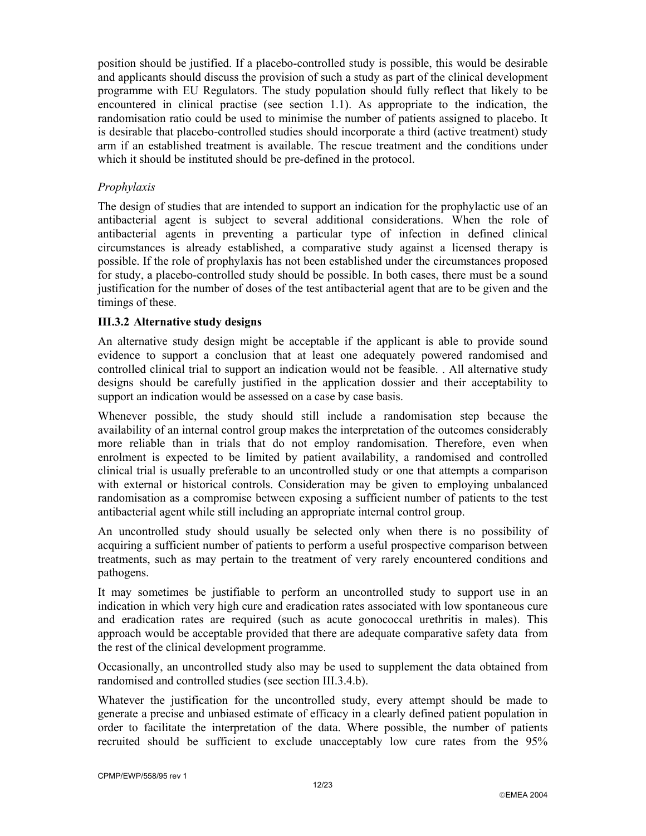position should be justified. If a placebo-controlled study is possible, this would be desirable and applicants should discuss the provision of such a study as part of the clinical development programme with EU Regulators. The study population should fully reflect that likely to be encountered in clinical practise (see section 1.1). As appropriate to the indication, the randomisation ratio could be used to minimise the number of patients assigned to placebo. It is desirable that placebo-controlled studies should incorporate a third (active treatment) study arm if an established treatment is available. The rescue treatment and the conditions under which it should be instituted should be pre-defined in the protocol.

### *Prophylaxis*

The design of studies that are intended to support an indication for the prophylactic use of an antibacterial agent is subject to several additional considerations. When the role of antibacterial agents in preventing a particular type of infection in defined clinical circumstances is already established, a comparative study against a licensed therapy is possible. If the role of prophylaxis has not been established under the circumstances proposed for study, a placebo-controlled study should be possible. In both cases, there must be a sound justification for the number of doses of the test antibacterial agent that are to be given and the timings of these.

#### **III.3.2 Alternative study designs**

An alternative study design might be acceptable if the applicant is able to provide sound evidence to support a conclusion that at least one adequately powered randomised and controlled clinical trial to support an indication would not be feasible. . All alternative study designs should be carefully justified in the application dossier and their acceptability to support an indication would be assessed on a case by case basis.

Whenever possible, the study should still include a randomisation step because the availability of an internal control group makes the interpretation of the outcomes considerably more reliable than in trials that do not employ randomisation. Therefore, even when enrolment is expected to be limited by patient availability, a randomised and controlled clinical trial is usually preferable to an uncontrolled study or one that attempts a comparison with external or historical controls. Consideration may be given to employing unbalanced randomisation as a compromise between exposing a sufficient number of patients to the test antibacterial agent while still including an appropriate internal control group.

An uncontrolled study should usually be selected only when there is no possibility of acquiring a sufficient number of patients to perform a useful prospective comparison between treatments, such as may pertain to the treatment of very rarely encountered conditions and pathogens.

It may sometimes be justifiable to perform an uncontrolled study to support use in an indication in which very high cure and eradication rates associated with low spontaneous cure and eradication rates are required (such as acute gonococcal urethritis in males). This approach would be acceptable provided that there are adequate comparative safety data from the rest of the clinical development programme.

Occasionally, an uncontrolled study also may be used to supplement the data obtained from randomised and controlled studies (see section III.3.4.b).

Whatever the justification for the uncontrolled study, every attempt should be made to generate a precise and unbiased estimate of efficacy in a clearly defined patient population in order to facilitate the interpretation of the data. Where possible, the number of patients recruited should be sufficient to exclude unacceptably low cure rates from the 95%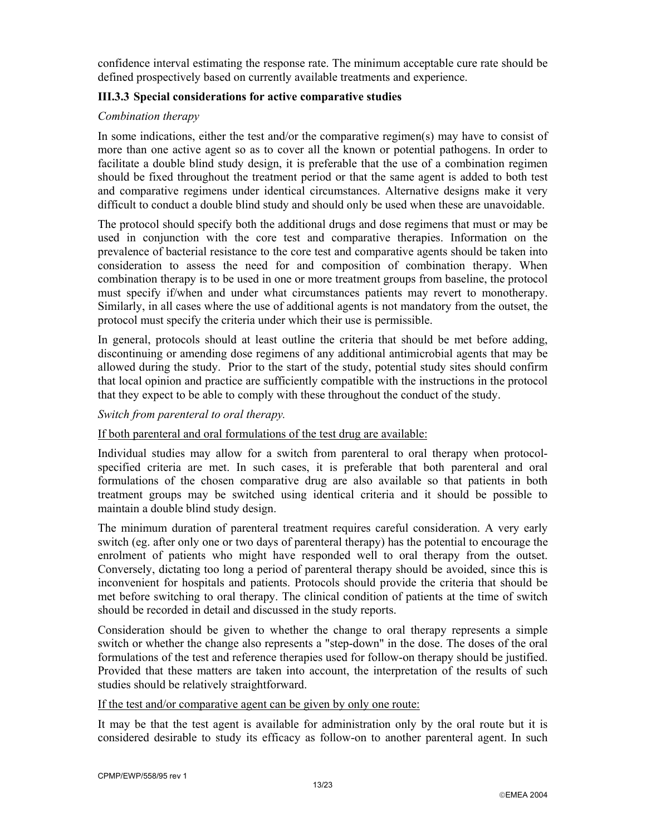confidence interval estimating the response rate. The minimum acceptable cure rate should be defined prospectively based on currently available treatments and experience.

### **III.3.3 Special considerations for active comparative studies**

#### *Combination therapy*

In some indications, either the test and/or the comparative regimen(s) may have to consist of more than one active agent so as to cover all the known or potential pathogens. In order to facilitate a double blind study design, it is preferable that the use of a combination regimen should be fixed throughout the treatment period or that the same agent is added to both test and comparative regimens under identical circumstances. Alternative designs make it very difficult to conduct a double blind study and should only be used when these are unavoidable.

The protocol should specify both the additional drugs and dose regimens that must or may be used in conjunction with the core test and comparative therapies. Information on the prevalence of bacterial resistance to the core test and comparative agents should be taken into consideration to assess the need for and composition of combination therapy. When combination therapy is to be used in one or more treatment groups from baseline, the protocol must specify if/when and under what circumstances patients may revert to monotherapy. Similarly, in all cases where the use of additional agents is not mandatory from the outset, the protocol must specify the criteria under which their use is permissible.

In general, protocols should at least outline the criteria that should be met before adding, discontinuing or amending dose regimens of any additional antimicrobial agents that may be allowed during the study. Prior to the start of the study, potential study sites should confirm that local opinion and practice are sufficiently compatible with the instructions in the protocol that they expect to be able to comply with these throughout the conduct of the study.

#### *Switch from parenteral to oral therapy.*

#### If both parenteral and oral formulations of the test drug are available:

Individual studies may allow for a switch from parenteral to oral therapy when protocolspecified criteria are met. In such cases, it is preferable that both parenteral and oral formulations of the chosen comparative drug are also available so that patients in both treatment groups may be switched using identical criteria and it should be possible to maintain a double blind study design.

The minimum duration of parenteral treatment requires careful consideration. A very early switch (eg. after only one or two days of parenteral therapy) has the potential to encourage the enrolment of patients who might have responded well to oral therapy from the outset. Conversely, dictating too long a period of parenteral therapy should be avoided, since this is inconvenient for hospitals and patients. Protocols should provide the criteria that should be met before switching to oral therapy. The clinical condition of patients at the time of switch should be recorded in detail and discussed in the study reports.

Consideration should be given to whether the change to oral therapy represents a simple switch or whether the change also represents a "step-down" in the dose. The doses of the oral formulations of the test and reference therapies used for follow-on therapy should be justified. Provided that these matters are taken into account, the interpretation of the results of such studies should be relatively straightforward.

#### If the test and/or comparative agent can be given by only one route:

It may be that the test agent is available for administration only by the oral route but it is considered desirable to study its efficacy as follow-on to another parenteral agent. In such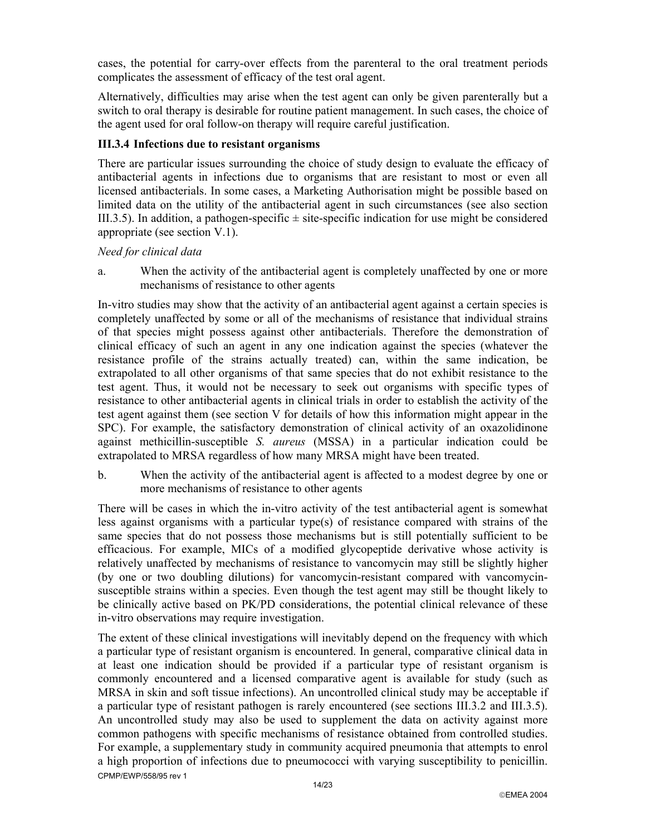cases, the potential for carry-over effects from the parenteral to the oral treatment periods complicates the assessment of efficacy of the test oral agent.

Alternatively, difficulties may arise when the test agent can only be given parenterally but a switch to oral therapy is desirable for routine patient management. In such cases, the choice of the agent used for oral follow-on therapy will require careful justification.

#### **III.3.4 Infections due to resistant organisms**

There are particular issues surrounding the choice of study design to evaluate the efficacy of antibacterial agents in infections due to organisms that are resistant to most or even all licensed antibacterials. In some cases, a Marketing Authorisation might be possible based on limited data on the utility of the antibacterial agent in such circumstances (see also section III.3.5). In addition, a pathogen-specific  $\pm$  site-specific indication for use might be considered appropriate (see section V.1).

#### *Need for clinical data*

a. When the activity of the antibacterial agent is completely unaffected by one or more mechanisms of resistance to other agents

In-vitro studies may show that the activity of an antibacterial agent against a certain species is completely unaffected by some or all of the mechanisms of resistance that individual strains of that species might possess against other antibacterials. Therefore the demonstration of clinical efficacy of such an agent in any one indication against the species (whatever the resistance profile of the strains actually treated) can, within the same indication, be extrapolated to all other organisms of that same species that do not exhibit resistance to the test agent. Thus, it would not be necessary to seek out organisms with specific types of resistance to other antibacterial agents in clinical trials in order to establish the activity of the test agent against them (see section V for details of how this information might appear in the SPC). For example, the satisfactory demonstration of clinical activity of an oxazolidinone against methicillin-susceptible *S. aureus* (MSSA) in a particular indication could be extrapolated to MRSA regardless of how many MRSA might have been treated.

b. When the activity of the antibacterial agent is affected to a modest degree by one or more mechanisms of resistance to other agents

There will be cases in which the in-vitro activity of the test antibacterial agent is somewhat less against organisms with a particular type(s) of resistance compared with strains of the same species that do not possess those mechanisms but is still potentially sufficient to be efficacious. For example, MICs of a modified glycopeptide derivative whose activity is relatively unaffected by mechanisms of resistance to vancomycin may still be slightly higher (by one or two doubling dilutions) for vancomycin-resistant compared with vancomycinsusceptible strains within a species. Even though the test agent may still be thought likely to be clinically active based on PK/PD considerations, the potential clinical relevance of these in-vitro observations may require investigation.

CPMP/EWP/558/95 rev 1 The extent of these clinical investigations will inevitably depend on the frequency with which a particular type of resistant organism is encountered. In general, comparative clinical data in at least one indication should be provided if a particular type of resistant organism is commonly encountered and a licensed comparative agent is available for study (such as MRSA in skin and soft tissue infections). An uncontrolled clinical study may be acceptable if a particular type of resistant pathogen is rarely encountered (see sections III.3.2 and III.3.5). An uncontrolled study may also be used to supplement the data on activity against more common pathogens with specific mechanisms of resistance obtained from controlled studies. For example, a supplementary study in community acquired pneumonia that attempts to enrol a high proportion of infections due to pneumococci with varying susceptibility to penicillin.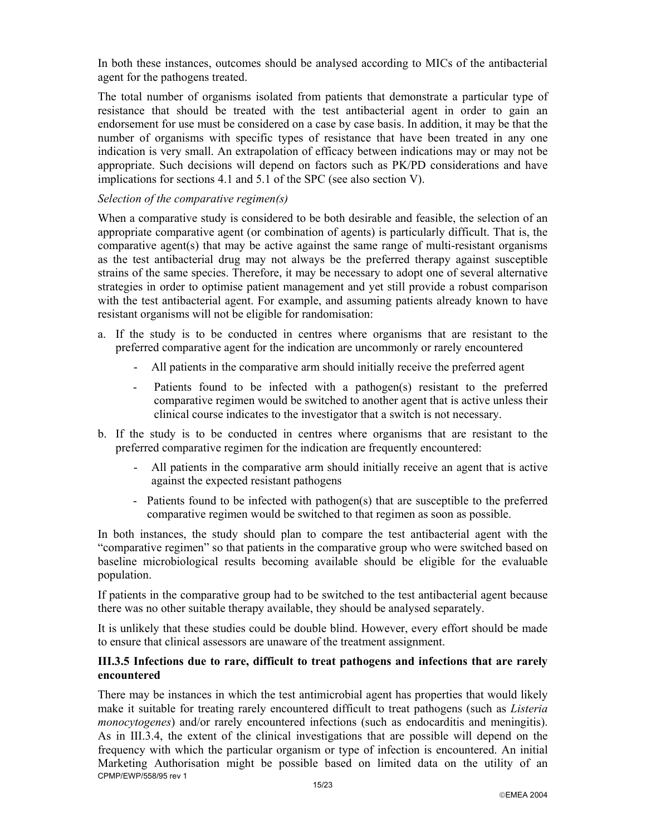In both these instances, outcomes should be analysed according to MICs of the antibacterial agent for the pathogens treated.

The total number of organisms isolated from patients that demonstrate a particular type of resistance that should be treated with the test antibacterial agent in order to gain an endorsement for use must be considered on a case by case basis. In addition, it may be that the number of organisms with specific types of resistance that have been treated in any one indication is very small. An extrapolation of efficacy between indications may or may not be appropriate. Such decisions will depend on factors such as PK/PD considerations and have implications for sections 4.1 and 5.1 of the SPC (see also section V).

#### *Selection of the comparative regimen(s)*

When a comparative study is considered to be both desirable and feasible, the selection of an appropriate comparative agent (or combination of agents) is particularly difficult. That is, the comparative agent(s) that may be active against the same range of multi-resistant organisms as the test antibacterial drug may not always be the preferred therapy against susceptible strains of the same species. Therefore, it may be necessary to adopt one of several alternative strategies in order to optimise patient management and yet still provide a robust comparison with the test antibacterial agent. For example, and assuming patients already known to have resistant organisms will not be eligible for randomisation:

- a. If the study is to be conducted in centres where organisms that are resistant to the preferred comparative agent for the indication are uncommonly or rarely encountered
	- All patients in the comparative arm should initially receive the preferred agent
	- Patients found to be infected with a pathogen(s) resistant to the preferred comparative regimen would be switched to another agent that is active unless their clinical course indicates to the investigator that a switch is not necessary.
- b. If the study is to be conducted in centres where organisms that are resistant to the preferred comparative regimen for the indication are frequently encountered:
	- All patients in the comparative arm should initially receive an agent that is active against the expected resistant pathogens
	- Patients found to be infected with pathogen(s) that are susceptible to the preferred comparative regimen would be switched to that regimen as soon as possible.

In both instances, the study should plan to compare the test antibacterial agent with the "comparative regimen" so that patients in the comparative group who were switched based on baseline microbiological results becoming available should be eligible for the evaluable population.

If patients in the comparative group had to be switched to the test antibacterial agent because there was no other suitable therapy available, they should be analysed separately.

It is unlikely that these studies could be double blind. However, every effort should be made to ensure that clinical assessors are unaware of the treatment assignment.

#### **III.3.5 Infections due to rare, difficult to treat pathogens and infections that are rarely encountered**

CPMP/EWP/558/95 rev 1 There may be instances in which the test antimicrobial agent has properties that would likely make it suitable for treating rarely encountered difficult to treat pathogens (such as *Listeria monocytogenes*) and/or rarely encountered infections (such as endocarditis and meningitis). As in III.3.4, the extent of the clinical investigations that are possible will depend on the frequency with which the particular organism or type of infection is encountered. An initial Marketing Authorisation might be possible based on limited data on the utility of an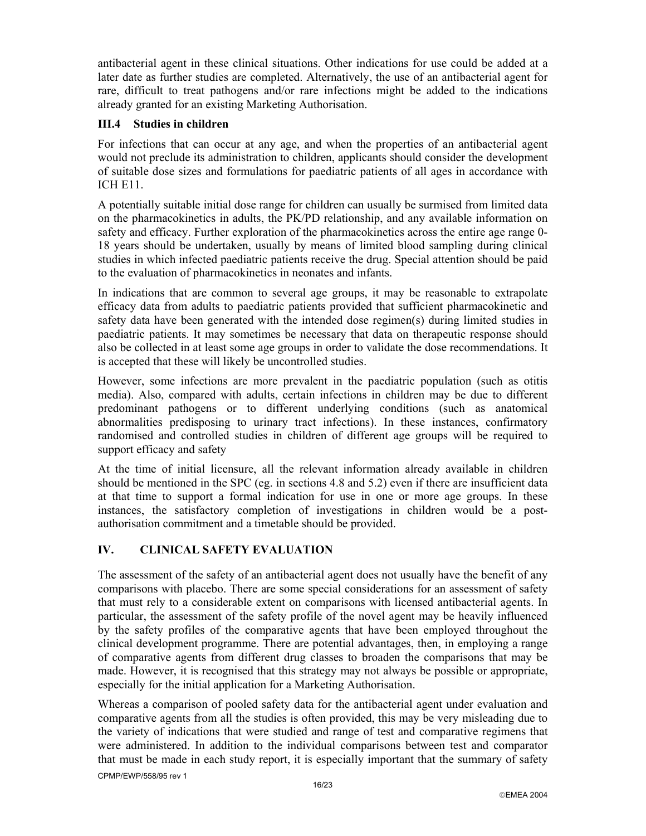antibacterial agent in these clinical situations. Other indications for use could be added at a later date as further studies are completed. Alternatively, the use of an antibacterial agent for rare, difficult to treat pathogens and/or rare infections might be added to the indications already granted for an existing Marketing Authorisation.

## **III.4 Studies in children**

For infections that can occur at any age, and when the properties of an antibacterial agent would not preclude its administration to children, applicants should consider the development of suitable dose sizes and formulations for paediatric patients of all ages in accordance with ICH E11.

A potentially suitable initial dose range for children can usually be surmised from limited data on the pharmacokinetics in adults, the PK/PD relationship, and any available information on safety and efficacy. Further exploration of the pharmacokinetics across the entire age range 0- 18 years should be undertaken, usually by means of limited blood sampling during clinical studies in which infected paediatric patients receive the drug. Special attention should be paid to the evaluation of pharmacokinetics in neonates and infants.

In indications that are common to several age groups, it may be reasonable to extrapolate efficacy data from adults to paediatric patients provided that sufficient pharmacokinetic and safety data have been generated with the intended dose regimen(s) during limited studies in paediatric patients. It may sometimes be necessary that data on therapeutic response should also be collected in at least some age groups in order to validate the dose recommendations. It is accepted that these will likely be uncontrolled studies.

However, some infections are more prevalent in the paediatric population (such as otitis media). Also, compared with adults, certain infections in children may be due to different predominant pathogens or to different underlying conditions (such as anatomical abnormalities predisposing to urinary tract infections). In these instances, confirmatory randomised and controlled studies in children of different age groups will be required to support efficacy and safety

At the time of initial licensure, all the relevant information already available in children should be mentioned in the SPC (eg. in sections 4.8 and 5.2) even if there are insufficient data at that time to support a formal indication for use in one or more age groups. In these instances, the satisfactory completion of investigations in children would be a postauthorisation commitment and a timetable should be provided.

## **IV. CLINICAL SAFETY EVALUATION**

The assessment of the safety of an antibacterial agent does not usually have the benefit of any comparisons with placebo. There are some special considerations for an assessment of safety that must rely to a considerable extent on comparisons with licensed antibacterial agents. In particular, the assessment of the safety profile of the novel agent may be heavily influenced by the safety profiles of the comparative agents that have been employed throughout the clinical development programme. There are potential advantages, then, in employing a range of comparative agents from different drug classes to broaden the comparisons that may be made. However, it is recognised that this strategy may not always be possible or appropriate, especially for the initial application for a Marketing Authorisation.

Whereas a comparison of pooled safety data for the antibacterial agent under evaluation and comparative agents from all the studies is often provided, this may be very misleading due to the variety of indications that were studied and range of test and comparative regimens that were administered. In addition to the individual comparisons between test and comparator that must be made in each study report, it is especially important that the summary of safety

CPMP/EWP/558/95 rev 1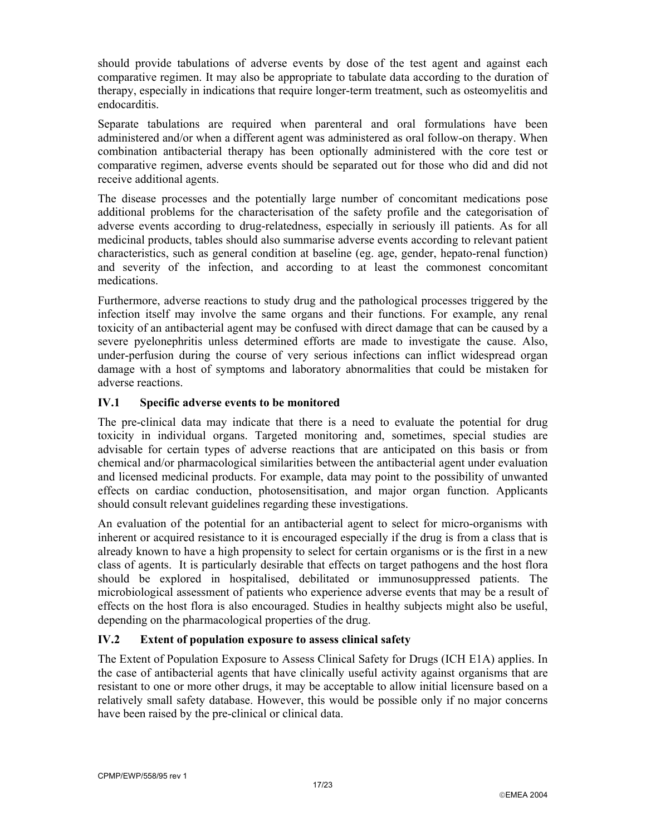should provide tabulations of adverse events by dose of the test agent and against each comparative regimen. It may also be appropriate to tabulate data according to the duration of therapy, especially in indications that require longer-term treatment, such as osteomyelitis and endocarditis.

Separate tabulations are required when parenteral and oral formulations have been administered and/or when a different agent was administered as oral follow-on therapy. When combination antibacterial therapy has been optionally administered with the core test or comparative regimen, adverse events should be separated out for those who did and did not receive additional agents.

The disease processes and the potentially large number of concomitant medications pose additional problems for the characterisation of the safety profile and the categorisation of adverse events according to drug-relatedness, especially in seriously ill patients. As for all medicinal products, tables should also summarise adverse events according to relevant patient characteristics, such as general condition at baseline (eg. age, gender, hepato-renal function) and severity of the infection, and according to at least the commonest concomitant medications.

Furthermore, adverse reactions to study drug and the pathological processes triggered by the infection itself may involve the same organs and their functions. For example, any renal toxicity of an antibacterial agent may be confused with direct damage that can be caused by a severe pyelonephritis unless determined efforts are made to investigate the cause. Also, under-perfusion during the course of very serious infections can inflict widespread organ damage with a host of symptoms and laboratory abnormalities that could be mistaken for adverse reactions.

## **IV.1 Specific adverse events to be monitored**

The pre-clinical data may indicate that there is a need to evaluate the potential for drug toxicity in individual organs. Targeted monitoring and, sometimes, special studies are advisable for certain types of adverse reactions that are anticipated on this basis or from chemical and/or pharmacological similarities between the antibacterial agent under evaluation and licensed medicinal products. For example, data may point to the possibility of unwanted effects on cardiac conduction, photosensitisation, and major organ function. Applicants should consult relevant guidelines regarding these investigations.

An evaluation of the potential for an antibacterial agent to select for micro-organisms with inherent or acquired resistance to it is encouraged especially if the drug is from a class that is already known to have a high propensity to select for certain organisms or is the first in a new class of agents. It is particularly desirable that effects on target pathogens and the host flora should be explored in hospitalised, debilitated or immunosuppressed patients. The microbiological assessment of patients who experience adverse events that may be a result of effects on the host flora is also encouraged. Studies in healthy subjects might also be useful, depending on the pharmacological properties of the drug.

## **IV.2 Extent of population exposure to assess clinical safety**

The Extent of Population Exposure to Assess Clinical Safety for Drugs (ICH E1A) applies. In the case of antibacterial agents that have clinically useful activity against organisms that are resistant to one or more other drugs, it may be acceptable to allow initial licensure based on a relatively small safety database. However, this would be possible only if no major concerns have been raised by the pre-clinical or clinical data.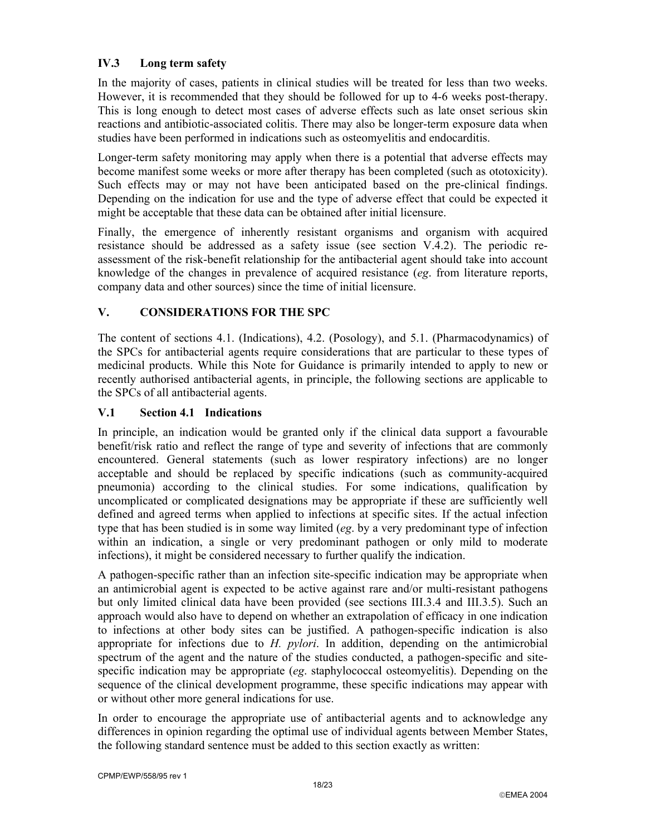## **IV.3 Long term safety**

In the majority of cases, patients in clinical studies will be treated for less than two weeks. However, it is recommended that they should be followed for up to 4-6 weeks post-therapy. This is long enough to detect most cases of adverse effects such as late onset serious skin reactions and antibiotic-associated colitis. There may also be longer-term exposure data when studies have been performed in indications such as osteomyelitis and endocarditis.

Longer-term safety monitoring may apply when there is a potential that adverse effects may become manifest some weeks or more after therapy has been completed (such as ototoxicity). Such effects may or may not have been anticipated based on the pre-clinical findings. Depending on the indication for use and the type of adverse effect that could be expected it might be acceptable that these data can be obtained after initial licensure.

Finally, the emergence of inherently resistant organisms and organism with acquired resistance should be addressed as a safety issue (see section V.4.2). The periodic reassessment of the risk-benefit relationship for the antibacterial agent should take into account knowledge of the changes in prevalence of acquired resistance (*eg*. from literature reports, company data and other sources) since the time of initial licensure.

## **V. CONSIDERATIONS FOR THE SPC**

The content of sections 4.1. (Indications), 4.2. (Posology), and 5.1. (Pharmacodynamics) of the SPCs for antibacterial agents require considerations that are particular to these types of medicinal products. While this Note for Guidance is primarily intended to apply to new or recently authorised antibacterial agents, in principle, the following sections are applicable to the SPCs of all antibacterial agents.

### **V.1 Section 4.1 Indications**

In principle, an indication would be granted only if the clinical data support a favourable benefit/risk ratio and reflect the range of type and severity of infections that are commonly encountered. General statements (such as lower respiratory infections) are no longer acceptable and should be replaced by specific indications (such as community-acquired pneumonia) according to the clinical studies. For some indications, qualification by uncomplicated or complicated designations may be appropriate if these are sufficiently well defined and agreed terms when applied to infections at specific sites. If the actual infection type that has been studied is in some way limited (*eg*. by a very predominant type of infection within an indication, a single or very predominant pathogen or only mild to moderate infections), it might be considered necessary to further qualify the indication.

A pathogen-specific rather than an infection site-specific indication may be appropriate when an antimicrobial agent is expected to be active against rare and/or multi-resistant pathogens but only limited clinical data have been provided (see sections III.3.4 and III.3.5). Such an approach would also have to depend on whether an extrapolation of efficacy in one indication to infections at other body sites can be justified. A pathogen-specific indication is also appropriate for infections due to *H. pylori*. In addition, depending on the antimicrobial spectrum of the agent and the nature of the studies conducted, a pathogen-specific and sitespecific indication may be appropriate (*eg*. staphylococcal osteomyelitis). Depending on the sequence of the clinical development programme, these specific indications may appear with or without other more general indications for use.

In order to encourage the appropriate use of antibacterial agents and to acknowledge any differences in opinion regarding the optimal use of individual agents between Member States, the following standard sentence must be added to this section exactly as written: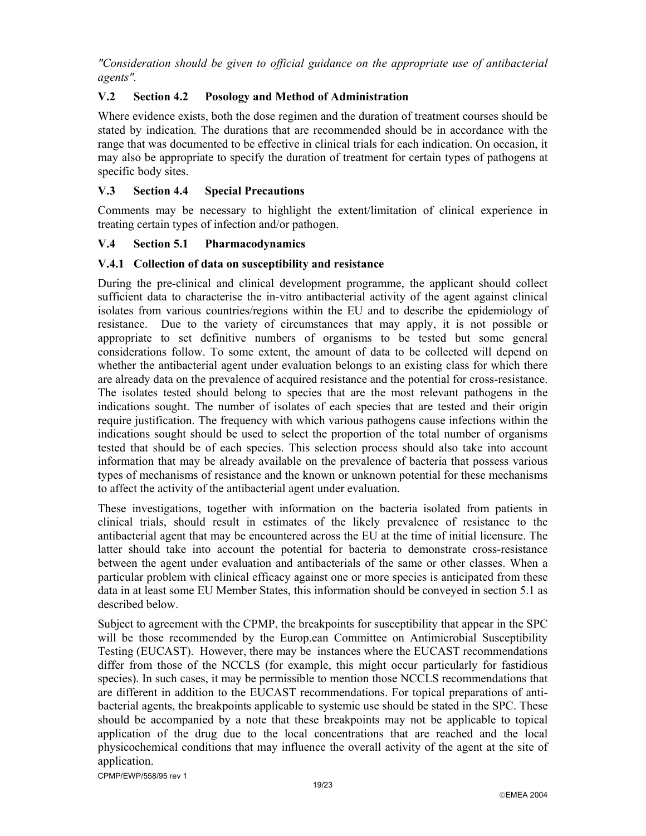*"Consideration should be given to official guidance on the appropriate use of antibacterial agents".*

## **V.2 Section 4.2 Posology and Method of Administration**

Where evidence exists, both the dose regimen and the duration of treatment courses should be stated by indication. The durations that are recommended should be in accordance with the range that was documented to be effective in clinical trials for each indication. On occasion, it may also be appropriate to specify the duration of treatment for certain types of pathogens at specific body sites.

#### **V.3 Section 4.4 Special Precautions**

Comments may be necessary to highlight the extent/limitation of clinical experience in treating certain types of infection and/or pathogen.

### **V.4 Section 5.1 Pharmacodynamics**

#### **V.4.1 Collection of data on susceptibility and resistance**

During the pre-clinical and clinical development programme, the applicant should collect sufficient data to characterise the in-vitro antibacterial activity of the agent against clinical isolates from various countries/regions within the EU and to describe the epidemiology of resistance. Due to the variety of circumstances that may apply, it is not possible or appropriate to set definitive numbers of organisms to be tested but some general considerations follow. To some extent, the amount of data to be collected will depend on whether the antibacterial agent under evaluation belongs to an existing class for which there are already data on the prevalence of acquired resistance and the potential for cross-resistance. The isolates tested should belong to species that are the most relevant pathogens in the indications sought. The number of isolates of each species that are tested and their origin require justification. The frequency with which various pathogens cause infections within the indications sought should be used to select the proportion of the total number of organisms tested that should be of each species. This selection process should also take into account information that may be already available on the prevalence of bacteria that possess various types of mechanisms of resistance and the known or unknown potential for these mechanisms to affect the activity of the antibacterial agent under evaluation.

These investigations, together with information on the bacteria isolated from patients in clinical trials, should result in estimates of the likely prevalence of resistance to the antibacterial agent that may be encountered across the EU at the time of initial licensure. The latter should take into account the potential for bacteria to demonstrate cross-resistance between the agent under evaluation and antibacterials of the same or other classes. When a particular problem with clinical efficacy against one or more species is anticipated from these data in at least some EU Member States, this information should be conveyed in section 5.1 as described below.

Subject to agreement with the CPMP, the breakpoints for susceptibility that appear in the SPC will be those recommended by the Europ.ean Committee on Antimicrobial Susceptibility Testing (EUCAST). However, there may be instances where the EUCAST recommendations differ from those of the NCCLS (for example, this might occur particularly for fastidious species). In such cases, it may be permissible to mention those NCCLS recommendations that are different in addition to the EUCAST recommendations. For topical preparations of antibacterial agents, the breakpoints applicable to systemic use should be stated in the SPC. These should be accompanied by a note that these breakpoints may not be applicable to topical application of the drug due to the local concentrations that are reached and the local physicochemical conditions that may influence the overall activity of the agent at the site of application.

CPMP/EWP/558/95 rev 1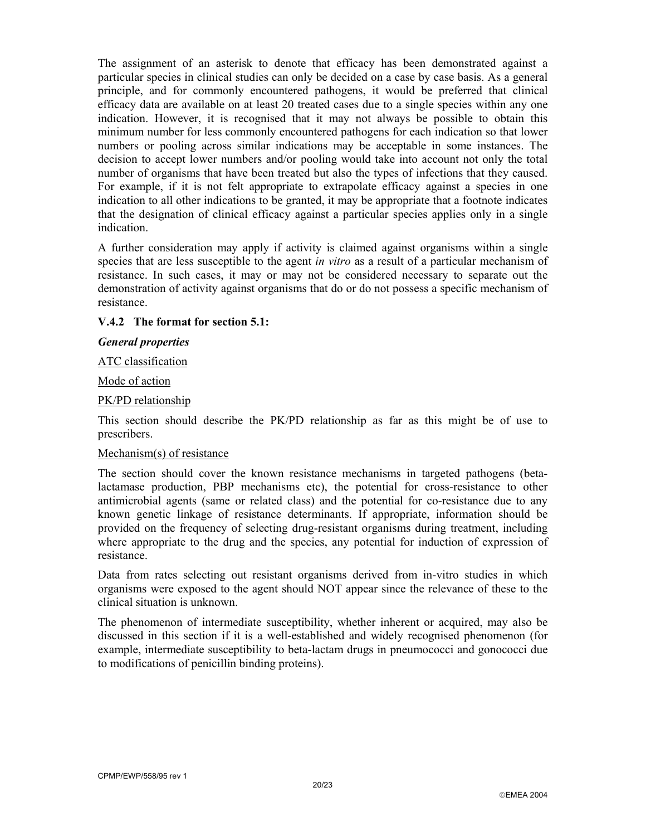The assignment of an asterisk to denote that efficacy has been demonstrated against a particular species in clinical studies can only be decided on a case by case basis. As a general principle, and for commonly encountered pathogens, it would be preferred that clinical efficacy data are available on at least 20 treated cases due to a single species within any one indication. However, it is recognised that it may not always be possible to obtain this minimum number for less commonly encountered pathogens for each indication so that lower numbers or pooling across similar indications may be acceptable in some instances. The decision to accept lower numbers and/or pooling would take into account not only the total number of organisms that have been treated but also the types of infections that they caused. For example, if it is not felt appropriate to extrapolate efficacy against a species in one indication to all other indications to be granted, it may be appropriate that a footnote indicates that the designation of clinical efficacy against a particular species applies only in a single indication.

A further consideration may apply if activity is claimed against organisms within a single species that are less susceptible to the agent *in vitro* as a result of a particular mechanism of resistance. In such cases, it may or may not be considered necessary to separate out the demonstration of activity against organisms that do or do not possess a specific mechanism of resistance.

#### **V.4.2 The format for section 5.1:**

#### *General properties*

ATC classification

#### Mode of action

#### PK/PD relationship

This section should describe the PK/PD relationship as far as this might be of use to prescribers.

#### Mechanism(s) of resistance

The section should cover the known resistance mechanisms in targeted pathogens (betalactamase production, PBP mechanisms etc), the potential for cross-resistance to other antimicrobial agents (same or related class) and the potential for co-resistance due to any known genetic linkage of resistance determinants. If appropriate, information should be provided on the frequency of selecting drug-resistant organisms during treatment, including where appropriate to the drug and the species, any potential for induction of expression of resistance.

Data from rates selecting out resistant organisms derived from in-vitro studies in which organisms were exposed to the agent should NOT appear since the relevance of these to the clinical situation is unknown.

The phenomenon of intermediate susceptibility, whether inherent or acquired, may also be discussed in this section if it is a well-established and widely recognised phenomenon (for example, intermediate susceptibility to beta-lactam drugs in pneumococci and gonococci due to modifications of penicillin binding proteins).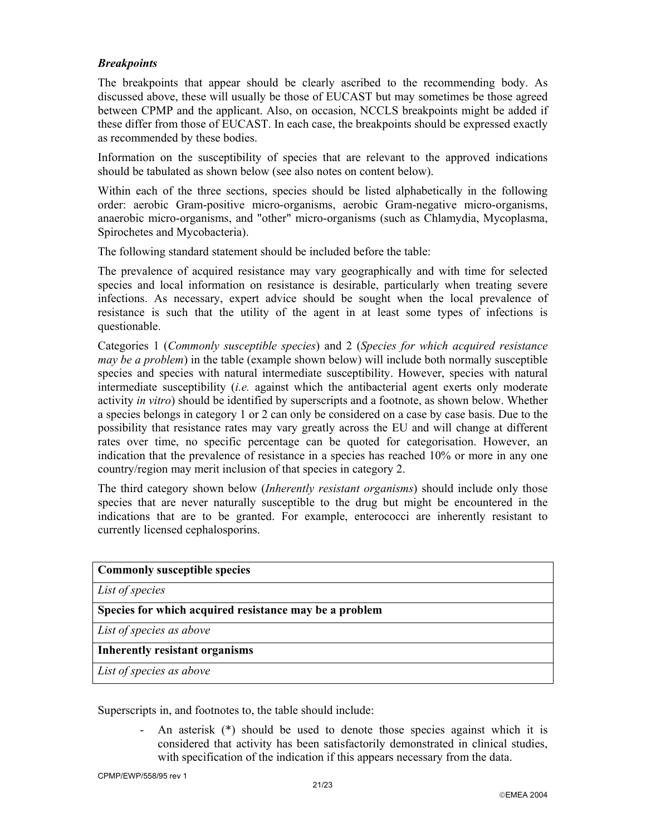### *Breakpoints*

The breakpoints that appear should be clearly ascribed to the recommending body. As discussed above, these will usually be those of EUCAST but may sometimes be those agreed between CPMP and the applicant. Also, on occasion, NCCLS breakpoints might be added if these differ from those of EUCAST. In each case, the breakpoints should be expressed exactly as recommended by these bodies.

Information on the susceptibility of species that are relevant to the approved indications should be tabulated as shown below (see also notes on content below).

Within each of the three sections, species should be listed alphabetically in the following order: aerobic Gram-positive micro-organisms, aerobic Gram-negative micro-organisms, anaerobic micro-organisms, and "other" micro-organisms (such as Chlamydia, Mycoplasma, Spirochetes and Mycobacteria).

The following standard statement should be included before the table:

The prevalence of acquired resistance may vary geographically and with time for selected species and local information on resistance is desirable, particularly when treating severe infections. As necessary, expert advice should be sought when the local prevalence of resistance is such that the utility of the agent in at least some types of infections is questionable.

Categories 1 (*Commonly susceptible species*) and 2 (*Species for which acquired resistance may be a problem*) in the table (example shown below) will include both normally susceptible species and species with natural intermediate susceptibility. However, species with natural intermediate susceptibility (*i.e.* against which the antibacterial agent exerts only moderate activity *in vitro*) should be identified by superscripts and a footnote, as shown below. Whether a species belongs in category 1 or 2 can only be considered on a case by case basis. Due to the possibility that resistance rates may vary greatly across the EU and will change at different rates over time, no specific percentage can be quoted for categorisation. However, an indication that the prevalence of resistance in a species has reached 10% or more in any one country/region may merit inclusion of that species in category 2.

The third category shown below (*Inherently resistant organisms*) should include only those species that are never naturally susceptible to the drug but might be encountered in the indications that are to be granted. For example, enterococci are inherently resistant to currently licensed cephalosporins.

| <b>Commonly susceptible species</b>                    |
|--------------------------------------------------------|
| List of species                                        |
| Species for which acquired resistance may be a problem |
| List of species as above                               |
| <b>Inherently resistant organisms</b>                  |
| List of species as above                               |

Superscripts in, and footnotes to, the table should include:

- An asterisk (\*) should be used to denote those species against which it is considered that activity has been satisfactorily demonstrated in clinical studies, with specification of the indication if this appears necessary from the data.

CPMP/EWP/558/95 rev 1